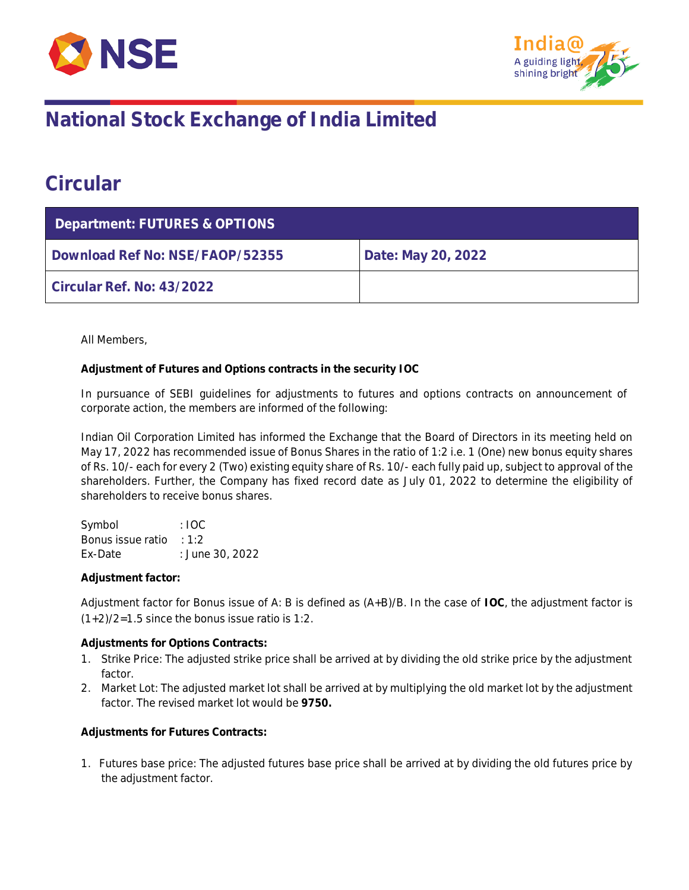



## **National Stock Exchange of India Limited**

### **Circular**

| Department: FUTURES & OPTIONS   |                    |  |  |  |
|---------------------------------|--------------------|--|--|--|
| Download Ref No: NSE/FAOP/52355 | Date: May 20, 2022 |  |  |  |
| Circular Ref. No: 43/2022       |                    |  |  |  |

All Members,

**Adjustment of Futures and Options contracts in the security IOC**

In pursuance of SEBI guidelines for adjustments to futures and options contracts on announcement of corporate action, the members are informed of the following:

Indian Oil Corporation Limited has informed the Exchange that the Board of Directors in its meeting held on May 17, 2022 has recommended issue of Bonus Shares in the ratio of 1:2 i.e. 1 (One) new bonus equity shares of Rs. 10/- each for every 2 (Two) existing equity share of Rs. 10/- each fully paid up, subject to approval of the shareholders. Further, the Company has fixed record date as July 01, 2022 to determine the eligibility of shareholders to receive bonus shares.

Symbol : IOC Bonus issue ratio : 1:2 Ex-Date : June 30, 2022

**Adjustment factor:**

Adjustment factor for Bonus issue of A: B is defined as (A+B)/B. In the case of **IOC**, the adjustment factor is  $(1+2)/2=1.5$  since the bonus issue ratio is 1:2.

**Adjustments for Options Contracts:**

- 1. Strike Price: The adjusted strike price shall be arrived at by dividing the old strike price by the adjustment factor.
- 2. Market Lot: The adjusted market lot shall be arrived at by multiplying the old market lot by the adjustment factor. The revised market lot would be **9750.**

**Adjustments for Futures Contracts:**

1. Futures base price: The adjusted futures base price shall be arrived at by dividing the old futures price by the adjustment factor.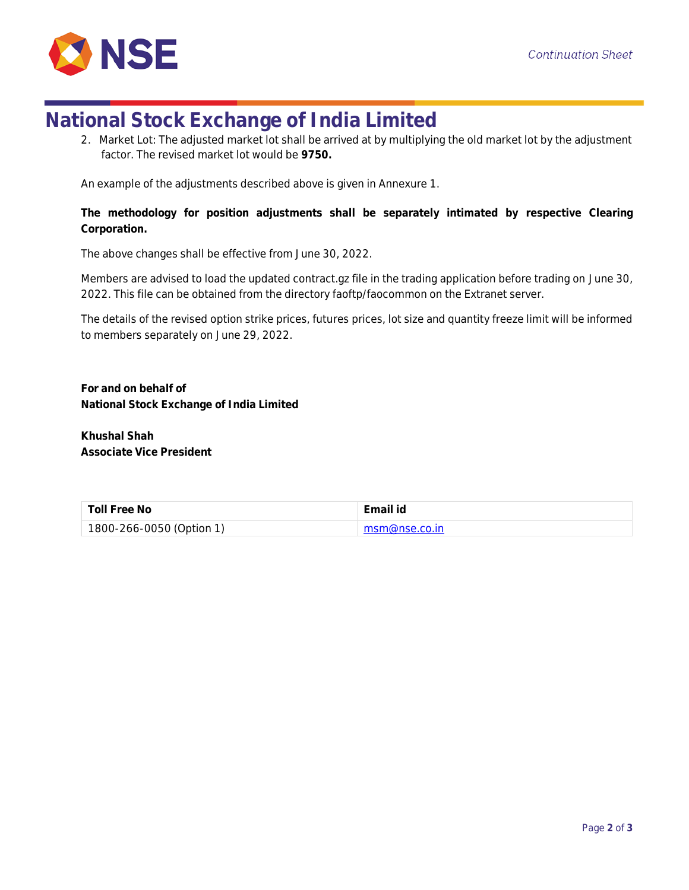

## **National Stock Exchange of India Limited**

2. Market Lot: The adjusted market lot shall be arrived at by multiplying the old market lot by the adjustment factor. The revised market lot would be **9750.**

An example of the adjustments described above is given in Annexure 1.

**The methodology for position adjustments shall be separately intimated by respective Clearing Corporation.**

The above changes shall be effective from June 30, 2022.

Members are advised to load the updated contract.gz file in the trading application before trading on June 30, 2022. This file can be obtained from the directory faoftp/faocommon on the Extranet server.

The details of the revised option strike prices, futures prices, lot size and quantity freeze limit will be informed to members separately on June 29, 2022.

**For and on behalf of National Stock Exchange of India Limited**

**Khushal Shah Associate Vice President**

| Toll Free No             | Email id       |
|--------------------------|----------------|
| 1800-266-0050 (Option 1) | msm@nse.co.in_ |